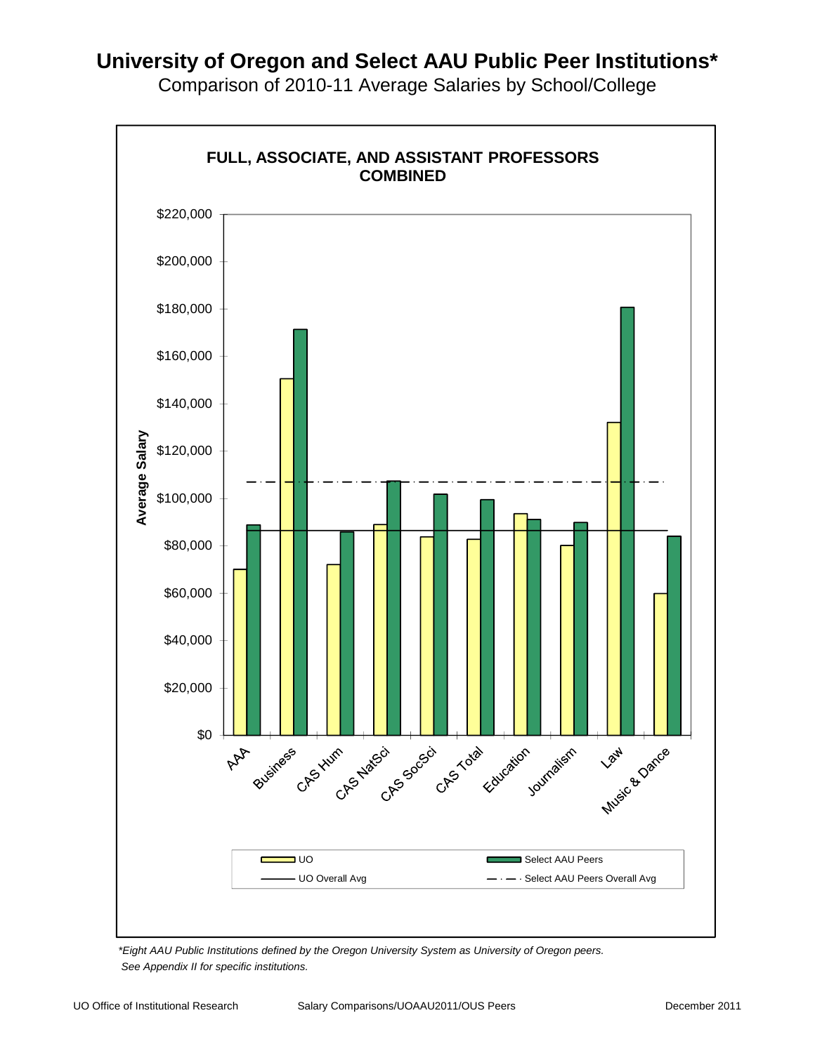

Comparison of 2010-11 Average Salaries by School/College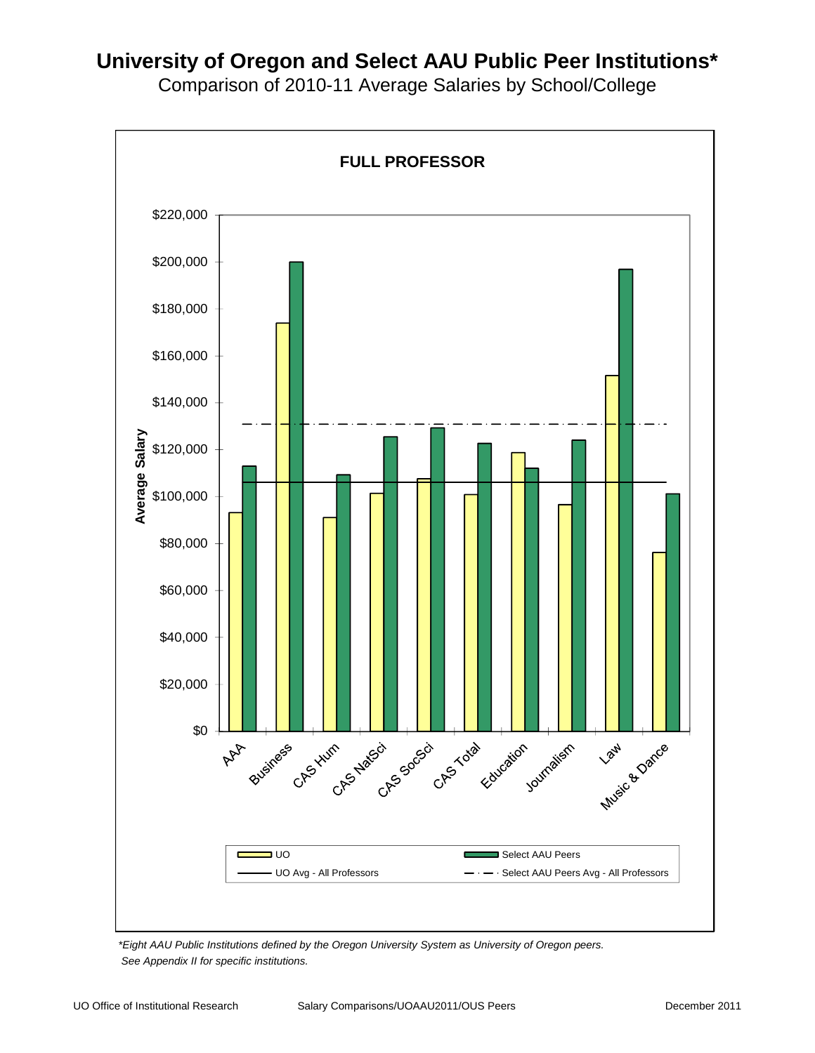

Comparison of 2010-11 Average Salaries by School/College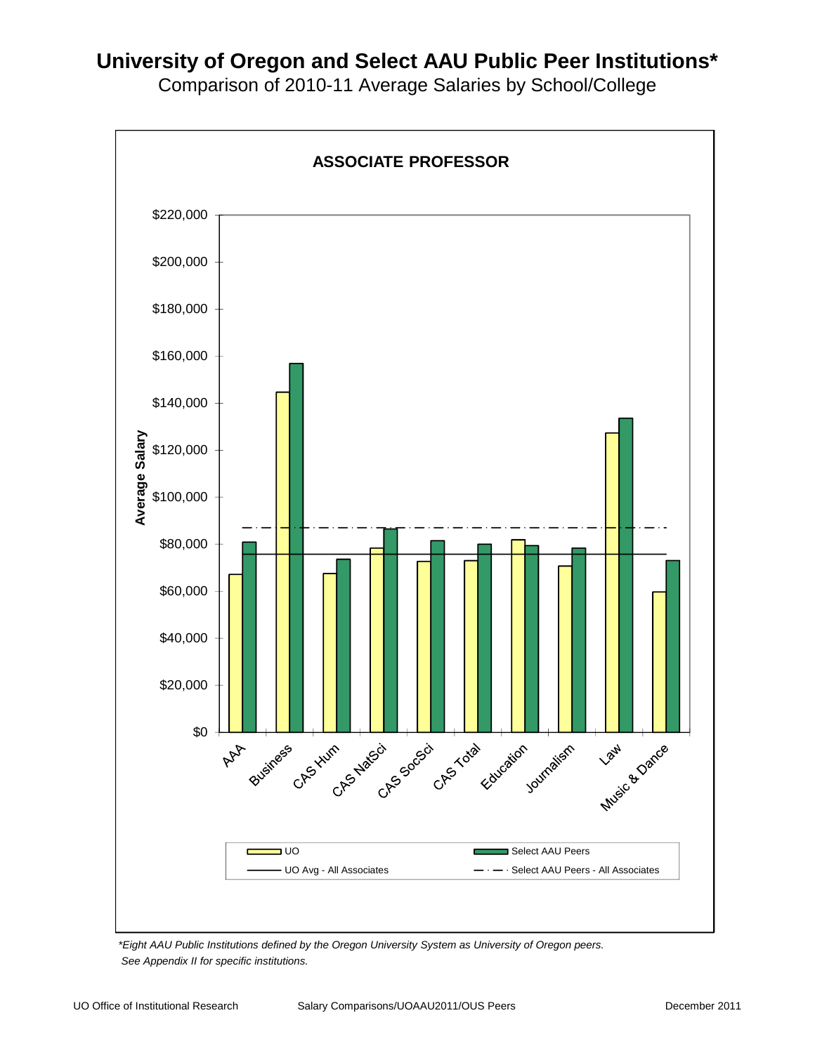

Comparison of 2010-11 Average Salaries by School/College